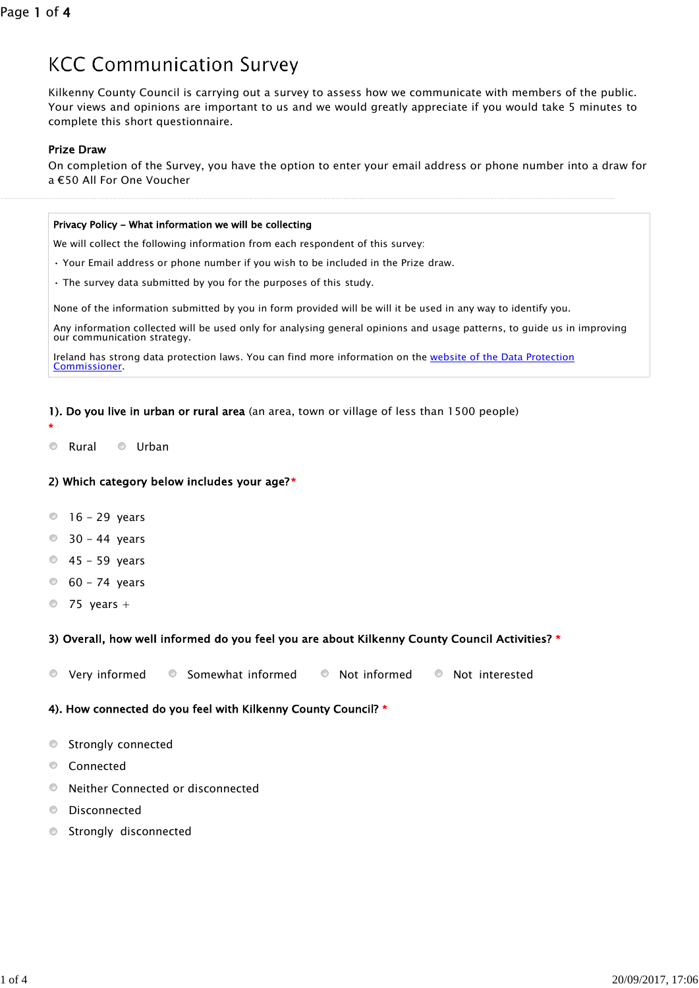# **KCC Communication Survey**

Kilkenny County Council is carrying out a survey to assess how we communicate with members of the public. Your views and opinions are important to us and we would greatly appreciate if you would take 5 minutes to complete this short questionnaire.

## Prize Draw

On completion of the Survey, you have the option to enter your email address or phone number into a draw for a €50 All For One Voucher

#### Privacy Policy - What information we will be collecting

We will collect the following information from each respondent of this survey:

- Your Email address or phone number if you wish to be included in the Prize draw.
- The survey data submitted by you for the purposes of this study.

None of the information submitted by you in form provided will be will it be used in any way to identify you.

Any information collected will be used only for analysing general opinions and usage patterns, to guide us in improving our communication strategy.

Commissioner. Ireland has strong data protection laws. You can find more information on the website of the Data Protection

## 1). Do you live in urban or rural area (an area, town or village of less than 1500 people)

 $\odot$ Rural © Urban

\*

## 2) Which category below includes your age? \*

- $\degree$  16 29 years
- $\degree$  30 44 years
- $0$  45 59 years
- $60 74$  years
- $\circledcirc$ 75 years +

# 3) Overall, how well informed do you feel you are about Kilkenny County Council Activities? \*

 $\circledcirc$ Very informed  $\bullet$  Somewhat informed  $\bullet$  Not informed  $\bullet$  Not interested

# 4). How connected do you feel with Kilkenny County Council? \*

- $\circledcirc$ Strongly connected
- Connected
- $\circledcirc$ Neither Connected or disconnected
- $\circledcirc$ Disconnected
- $\circ$ Strongly disconnected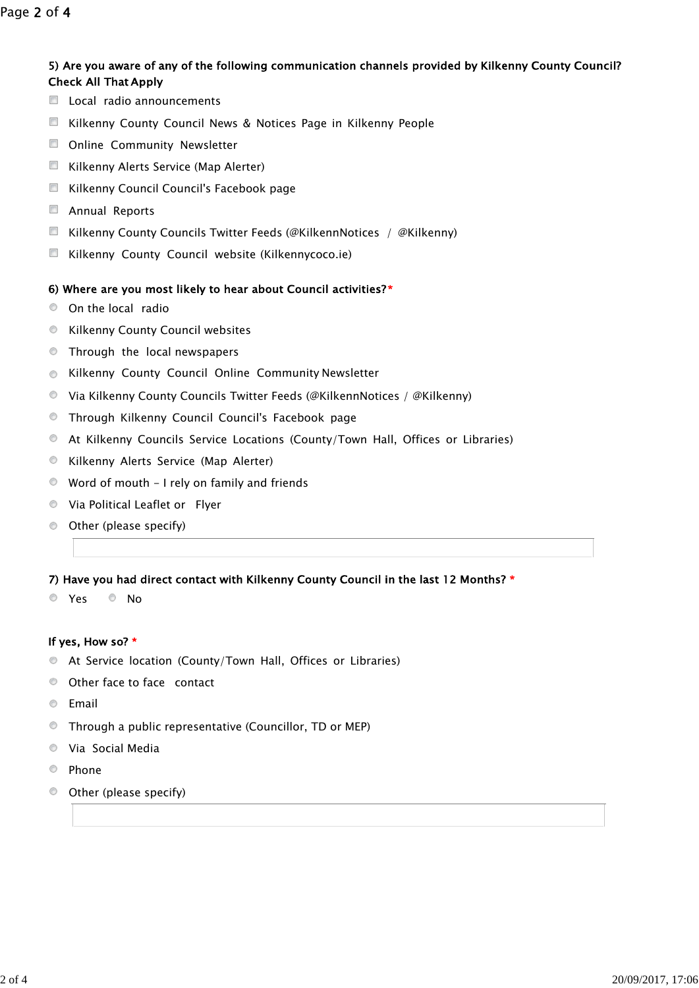# 5) Are you aware of any of the following communication channels provided by Kilkenny County Council? Check All That Apply

- Local radio announcements
- **Kilkenny County Council News & Notices Page in Kilkenny People**
- **D** Online Community Newsletter
- **Kilkenny Alerts Service (Map Alerter)**
- **E** Kilkenny Council Council's Facebook page
- **E** Annual Reports
- **E** Kilkenny County Councils Twitter Feeds (@KilkennNotices / @Kilkenny)
- **E** Kilkenny County Council website (Kilkennycoco.ie)

# 6) Where are you most likely to hear about Council activities? \*

- O On the local radio
- **EXECUTE:** Kilkenny County Council websites
- **Through the local newspapers**
- **EXILLENCHIPS COUNTY Council Online Community Newsletter**
- Via Kilkenny County Councils Twitter Feeds (@KilkennNotices / @Kilkenny)
- **Through Kilkenny Council Council's Facebook page**
- At Kilkenny Councils Service Locations (County/Town Hall, Offices or Libraries)
- **C** Kilkenny Alerts Service (Map Alerter)
- Word of mouth I rely on family and friends
- Via Political Leaflet or Flyer
- Other (please specify)

# 7) Have you had direct contact with Kilkenny County Council in the last 12 Months? \*

O Yes O No

# If yes, How so? \*

- At Service location (County/Town Hall, Offices or Libraries)
- Other face to face contact
- **C** Email
- Through a public representative (Councillor, TD or MEP)
- Via Social Media
- <sup>O</sup> Phone
- Other (please specify) $\circ$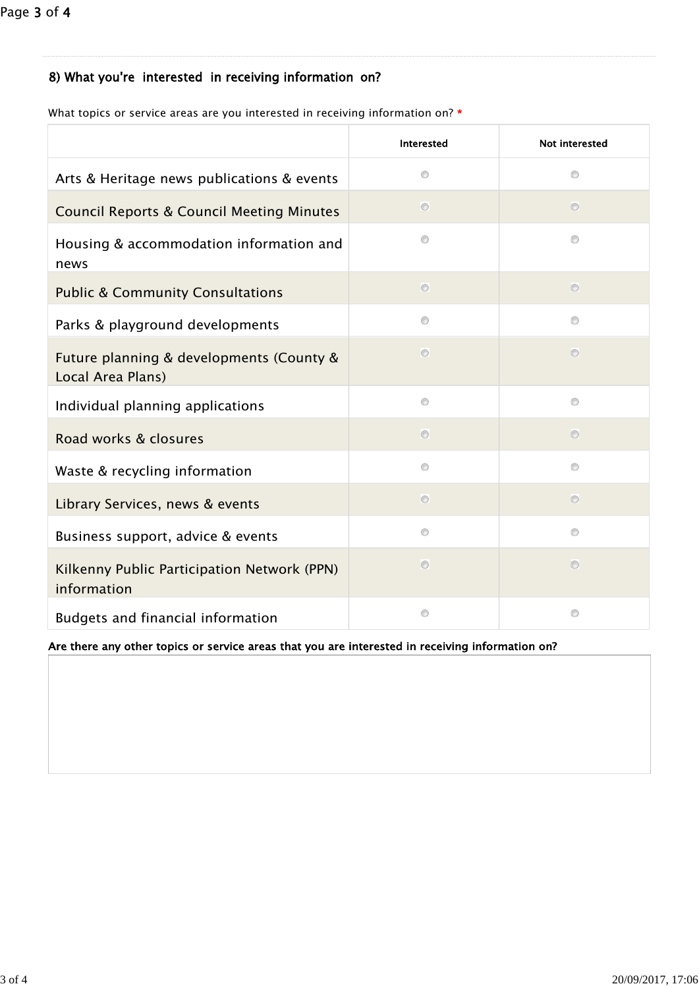# 8) What you're interested in receiving information on?

|                                                               | <b>Interested</b> | Not interested |
|---------------------------------------------------------------|-------------------|----------------|
| Arts & Heritage news publications & events                    | Ø                 | $\circledcirc$ |
| <b>Council Reports &amp; Council Meeting Minutes</b>          | $\circ$           | $\circ$        |
| Housing & accommodation information and<br>news               | $\circledcirc$    | ø              |
| <b>Public &amp; Community Consultations</b>                   | $\circ$           | $\circ$        |
| Parks & playground developments                               | $\circledcirc$    | ø              |
| Future planning & developments (County &<br>Local Area Plans) | $\circ$           | $\circ$        |
| Individual planning applications                              | $\circledcirc$    | ø              |
| Road works & closures                                         | $\circ$           | $\circ$        |
| Waste & recycling information                                 | $\circ$           | $\circledcirc$ |
| Library Services, news & events                               | $\circ$           | $\circ$        |
| Business support, advice & events                             | $^{\circ}$        | Ø              |
| Kilkenny Public Participation Network (PPN)<br>information    | $\circ$           | $\circ$        |
| Budgets and financial information                             | O                 | $\circledcirc$ |

What topics or service areas are you interested in receiving information on? \*

Are there any other topics or service areas that you are interested in receiving information on?